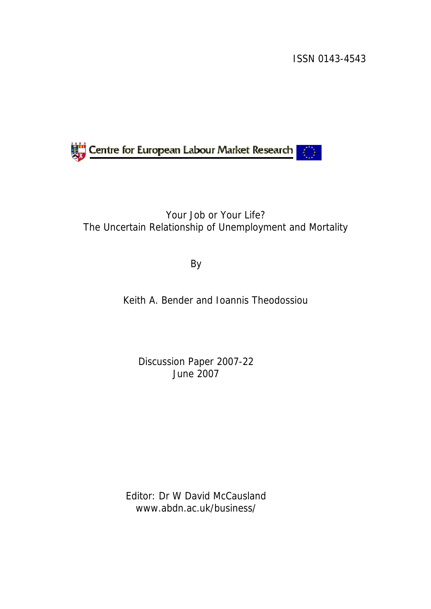ISSN 0143-4543



## Your Job or Your Life? The Uncertain Relationship of Unemployment and Mortality

By

Keith A. Bender and Ioannis Theodossiou

Discussion Paper 2007-22 June 2007

Editor: Dr W David McCausland www.abdn.ac.uk/business/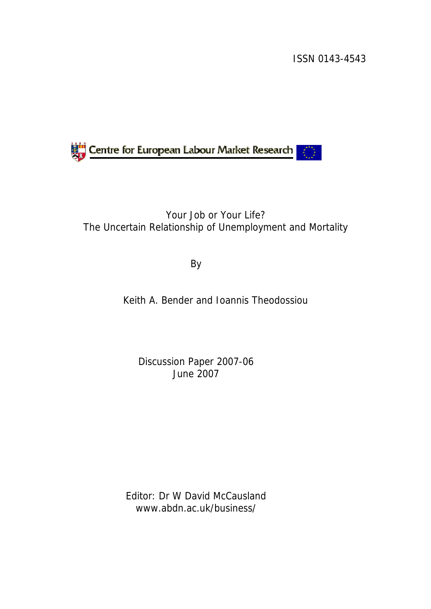ISSN 0143-4543



## Your Job or Your Life? The Uncertain Relationship of Unemployment and Mortality

By

Keith A. Bender and Ioannis Theodossiou

Discussion Paper 2007-06 June 2007

Editor: Dr W David McCausland www.abdn.ac.uk/business/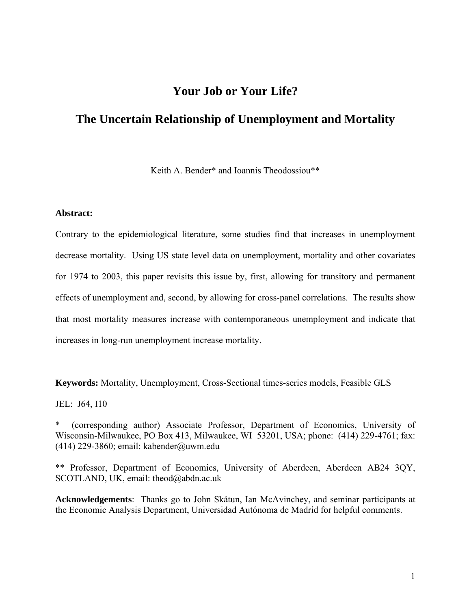## **Your Job or Your Life?**

## **The Uncertain Relationship of Unemployment and Mortality**

Keith A. Bender\* and Ioannis Theodossiou\*\*

#### **Abstract:**

Contrary to the epidemiological literature, some studies find that increases in unemployment decrease mortality. Using US state level data on unemployment, mortality and other covariates for 1974 to 2003, this paper revisits this issue by, first, allowing for transitory and permanent effects of unemployment and, second, by allowing for cross-panel correlations. The results show that most mortality measures increase with contemporaneous unemployment and indicate that increases in long-run unemployment increase mortality.

**Keywords:** Mortality, Unemployment, Cross-Sectional times-series models, Feasible GLS

JEL: J64, I10

\* (corresponding author) Associate Professor, Department of Economics, University of Wisconsin-Milwaukee, PO Box 413, Milwaukee, WI 53201, USA; phone: (414) 229-4761; fax: (414) 229-3860; email: kabender@uwm.edu

\*\* Professor, Department of Economics, University of Aberdeen, Aberdeen AB24 3QY, SCOTLAND, UK, email: theod@abdn.ac.uk

**Acknowledgements**: Thanks go to John Skåtun, Ian McAvinchey, and seminar participants at the Economic Analysis Department, Universidad Autónoma de Madrid for helpful comments.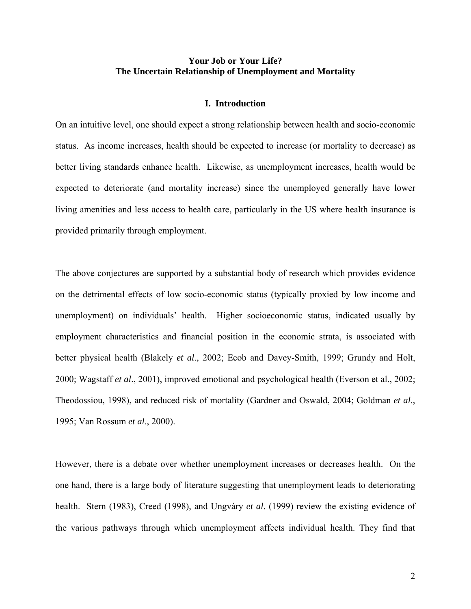#### **Your Job or Your Life? The Uncertain Relationship of Unemployment and Mortality**

#### **I. Introduction**

On an intuitive level, one should expect a strong relationship between health and socio-economic status. As income increases, health should be expected to increase (or mortality to decrease) as better living standards enhance health. Likewise, as unemployment increases, health would be expected to deteriorate (and mortality increase) since the unemployed generally have lower living amenities and less access to health care, particularly in the US where health insurance is provided primarily through employment.

The above conjectures are supported by a substantial body of research which provides evidence on the detrimental effects of low socio-economic status (typically proxied by low income and unemployment) on individuals' health. Higher socioeconomic status, indicated usually by employment characteristics and financial position in the economic strata, is associated with better physical health (Blakely *et al*., 2002; Ecob and Davey-Smith, 1999; Grundy and Holt, 2000; Wagstaff *et al*., 2001), improved emotional and psychological health (Everson et al., 2002; Theodossiou, 1998), and reduced risk of mortality (Gardner and Oswald, 2004; Goldman *et al*., 1995; Van Rossum *et al*., 2000).

However, there is a debate over whether unemployment increases or decreases health. On the one hand, there is a large body of literature suggesting that unemployment leads to deteriorating health. Stern (1983), Creed (1998), and Ungváry *et al*. (1999) review the existing evidence of the various pathways through which unemployment affects individual health. They find that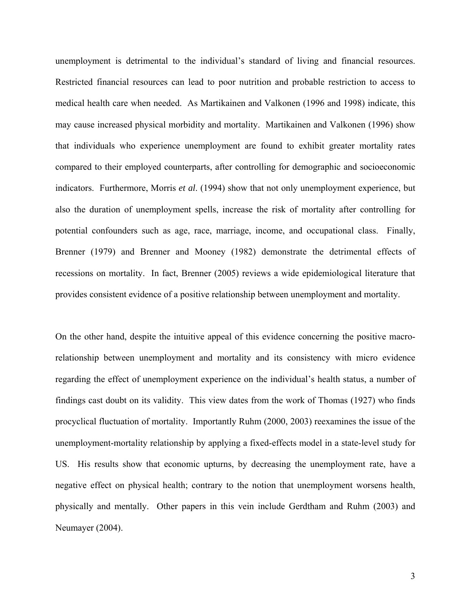unemployment is detrimental to the individual's standard of living and financial resources. Restricted financial resources can lead to poor nutrition and probable restriction to access to medical health care when needed. As Martikainen and Valkonen (1996 and 1998) indicate, this may cause increased physical morbidity and mortality. Martikainen and Valkonen (1996) show that individuals who experience unemployment are found to exhibit greater mortality rates compared to their employed counterparts, after controlling for demographic and socioeconomic indicators. Furthermore, Morris *et al*. (1994) show that not only unemployment experience, but also the duration of unemployment spells, increase the risk of mortality after controlling for potential confounders such as age, race, marriage, income, and occupational class. Finally, Brenner (1979) and Brenner and Mooney (1982) demonstrate the detrimental effects of recessions on mortality. In fact, Brenner (2005) reviews a wide epidemiological literature that provides consistent evidence of a positive relationship between unemployment and mortality.

On the other hand, despite the intuitive appeal of this evidence concerning the positive macrorelationship between unemployment and mortality and its consistency with micro evidence regarding the effect of unemployment experience on the individual's health status, a number of findings cast doubt on its validity. This view dates from the work of Thomas (1927) who finds procyclical fluctuation of mortality. Importantly Ruhm (2000, 2003) reexamines the issue of the unemployment-mortality relationship by applying a fixed-effects model in a state-level study for US. His results show that economic upturns, by decreasing the unemployment rate, have a negative effect on physical health; contrary to the notion that unemployment worsens health, physically and mentally. Other papers in this vein include Gerdtham and Ruhm (2003) and Neumayer (2004).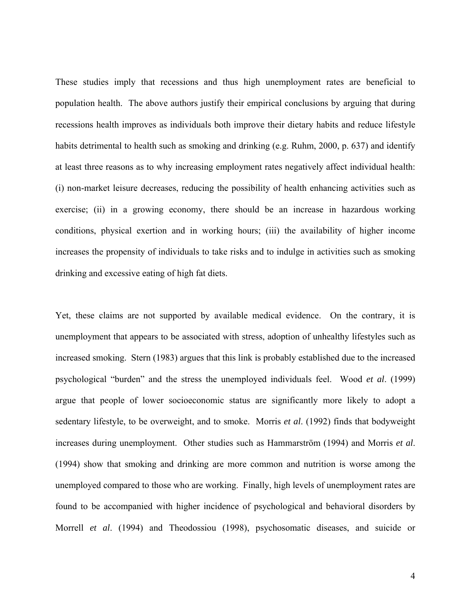These studies imply that recessions and thus high unemployment rates are beneficial to population health. The above authors justify their empirical conclusions by arguing that during recessions health improves as individuals both improve their dietary habits and reduce lifestyle habits detrimental to health such as smoking and drinking (e.g. Ruhm, 2000, p. 637) and identify at least three reasons as to why increasing employment rates negatively affect individual health: (i) non-market leisure decreases, reducing the possibility of health enhancing activities such as exercise; (ii) in a growing economy, there should be an increase in hazardous working conditions, physical exertion and in working hours; (iii) the availability of higher income increases the propensity of individuals to take risks and to indulge in activities such as smoking drinking and excessive eating of high fat diets.

Yet, these claims are not supported by available medical evidence. On the contrary, it is unemployment that appears to be associated with stress, adoption of unhealthy lifestyles such as increased smoking. Stern (1983) argues that this link is probably established due to the increased psychological "burden" and the stress the unemployed individuals feel. Wood *et al*. (1999) argue that people of lower socioeconomic status are significantly more likely to adopt a sedentary lifestyle, to be overweight, and to smoke. Morris *et al*. (1992) finds that bodyweight increases during unemployment. Other studies such as Hammarström (1994) and Morris *et al*. (1994) show that smoking and drinking are more common and nutrition is worse among the unemployed compared to those who are working. Finally, high levels of unemployment rates are found to be accompanied with higher incidence of psychological and behavioral disorders by Morrell *et al*. (1994) and Theodossiou (1998), psychosomatic diseases, and suicide or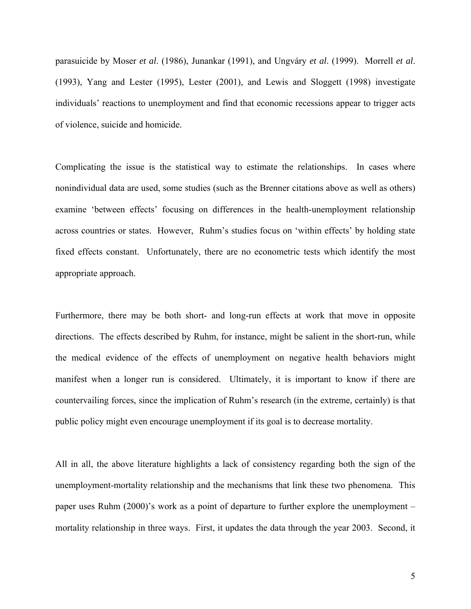parasuicide by Moser *et al*. (1986), Junankar (1991), and Ungváry *et al*. (1999). Morrell *et al*. (1993), Yang and Lester (1995), Lester (2001), and Lewis and Sloggett (1998) investigate individuals' reactions to unemployment and find that economic recessions appear to trigger acts of violence, suicide and homicide.

Complicating the issue is the statistical way to estimate the relationships. In cases where nonindividual data are used, some studies (such as the Brenner citations above as well as others) examine 'between effects' focusing on differences in the health-unemployment relationship across countries or states. However, Ruhm's studies focus on 'within effects' by holding state fixed effects constant. Unfortunately, there are no econometric tests which identify the most appropriate approach.

Furthermore, there may be both short- and long-run effects at work that move in opposite directions. The effects described by Ruhm, for instance, might be salient in the short-run, while the medical evidence of the effects of unemployment on negative health behaviors might manifest when a longer run is considered. Ultimately, it is important to know if there are countervailing forces, since the implication of Ruhm's research (in the extreme, certainly) is that public policy might even encourage unemployment if its goal is to decrease mortality.

All in all, the above literature highlights a lack of consistency regarding both the sign of the unemployment-mortality relationship and the mechanisms that link these two phenomena. This paper uses Ruhm (2000)'s work as a point of departure to further explore the unemployment – mortality relationship in three ways. First, it updates the data through the year 2003. Second, it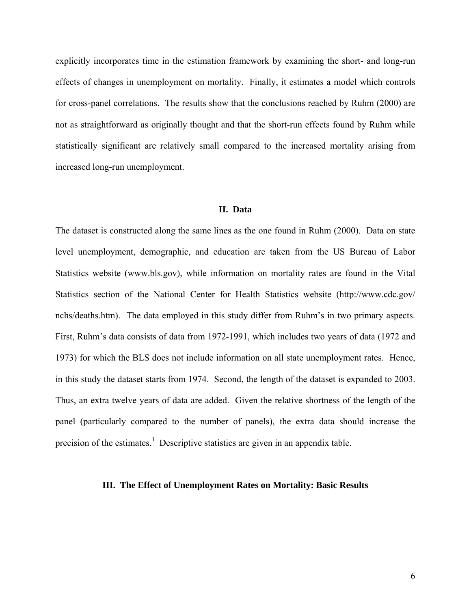explicitly incorporates time in the estimation framework by examining the short- and long-run effects of changes in unemployment on mortality. Finally, it estimates a model which controls for cross-panel correlations. The results show that the conclusions reached by Ruhm (2000) are not as straightforward as originally thought and that the short-run effects found by Ruhm while statistically significant are relatively small compared to the increased mortality arising from increased long-run unemployment.

#### **II. Data**

The dataset is constructed along the same lines as the one found in Ruhm (2000). Data on state level unemployment, demographic, and education are taken from the US Bureau of Labor Statistics website (www.bls.gov), while information on mortality rates are found in the Vital Statistics section of the National Center for Health Statistics website (http://www.cdc.gov/ nchs/deaths.htm). The data employed in this study differ from Ruhm's in two primary aspects. First, Ruhm's data consists of data from 1972-1991, which includes two years of data (1972 and 1973) for which the BLS does not include information on all state unemployment rates. Hence, in this study the dataset starts from 1974. Second, the length of the dataset is expanded to 2003. Thus, an extra twelve years of data are added. Given the relative shortness of the length of the panel (particularly compared to the number of panels), the extra data should increase the precision of the estimates.<sup>1</sup> Descriptive statistics are given in an appendix table.

#### **III. The Effect of Unemployment Rates on Mortality: Basic Results**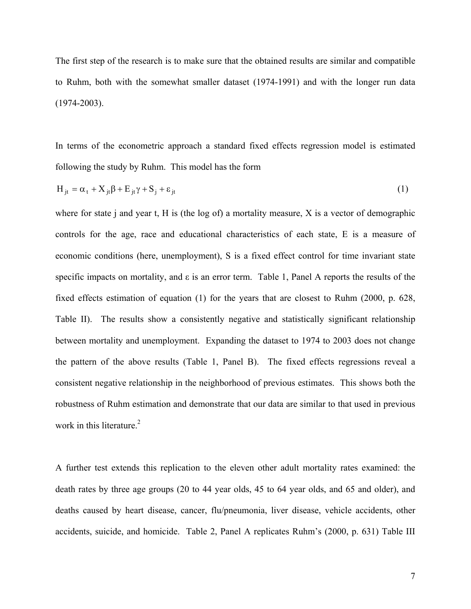The first step of the research is to make sure that the obtained results are similar and compatible to Ruhm, both with the somewhat smaller dataset (1974-1991) and with the longer run data (1974-2003).

In terms of the econometric approach a standard fixed effects regression model is estimated following the study by Ruhm. This model has the form

$$
H_{it} = \alpha_t + X_{it}\beta + E_{it}\gamma + S_i + \varepsilon_{it}
$$
 (1)

where for state j and year t, H is (the log of) a mortality measure, X is a vector of demographic controls for the age, race and educational characteristics of each state, E is a measure of economic conditions (here, unemployment), S is a fixed effect control for time invariant state specific impacts on mortality, and  $\varepsilon$  is an error term. Table 1, Panel A reports the results of the fixed effects estimation of equation (1) for the years that are closest to Ruhm (2000, p. 628, Table II). The results show a consistently negative and statistically significant relationship between mortality and unemployment. Expanding the dataset to 1974 to 2003 does not change the pattern of the above results (Table 1, Panel B). The fixed effects regressions reveal a consistent negative relationship in the neighborhood of previous estimates. This shows both the robustness of Ruhm estimation and demonstrate that our data are similar to that used in previous work in this literature. $2$ 

A further test extends this replication to the eleven other adult mortality rates examined: the death rates by three age groups (20 to 44 year olds, 45 to 64 year olds, and 65 and older), and deaths caused by heart disease, cancer, flu/pneumonia, liver disease, vehicle accidents, other accidents, suicide, and homicide. Table 2, Panel A replicates Ruhm's (2000, p. 631) Table III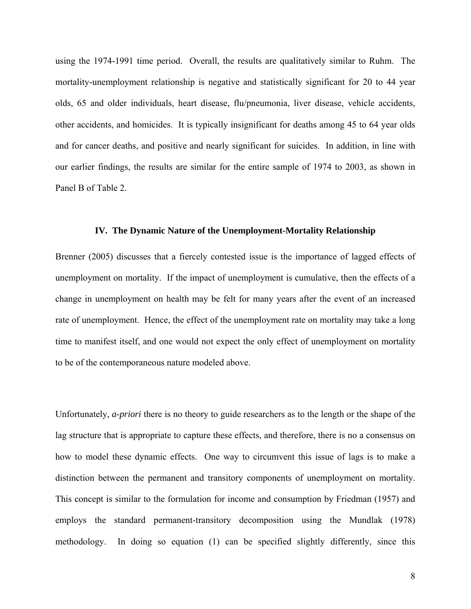using the 1974-1991 time period. Overall, the results are qualitatively similar to Ruhm. The mortality-unemployment relationship is negative and statistically significant for 20 to 44 year olds, 65 and older individuals, heart disease, flu/pneumonia, liver disease, vehicle accidents, other accidents, and homicides. It is typically insignificant for deaths among 45 to 64 year olds and for cancer deaths, and positive and nearly significant for suicides. In addition, in line with our earlier findings, the results are similar for the entire sample of 1974 to 2003, as shown in Panel B of Table 2.

#### **IV. The Dynamic Nature of the Unemployment-Mortality Relationship**

Brenner (2005) discusses that a fiercely contested issue is the importance of lagged effects of unemployment on mortality. If the impact of unemployment is cumulative, then the effects of a change in unemployment on health may be felt for many years after the event of an increased rate of unemployment. Hence, the effect of the unemployment rate on mortality may take a long time to manifest itself, and one would not expect the only effect of unemployment on mortality to be of the contemporaneous nature modeled above.

Unfortunately, *a-priori* there is no theory to guide researchers as to the length or the shape of the lag structure that is appropriate to capture these effects, and therefore, there is no a consensus on how to model these dynamic effects. One way to circumvent this issue of lags is to make a distinction between the permanent and transitory components of unemployment on mortality. This concept is similar to the formulation for income and consumption by Friedman (1957) and employs the standard permanent-transitory decomposition using the Mundlak (1978) methodology. In doing so equation (1) can be specified slightly differently, since this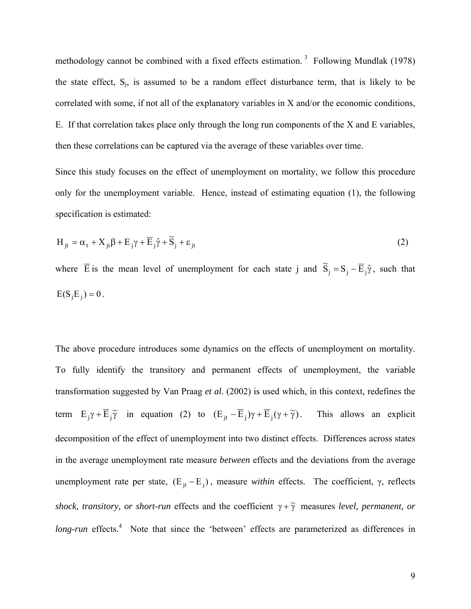methodology cannot be combined with a fixed effects estimation.<sup>3</sup> Following Mundlak (1978) the state effect,  $S_j$ , is assumed to be a random effect disturbance term, that is likely to be correlated with some, if not all of the explanatory variables in X and/or the economic conditions, E. If that correlation takes place only through the long run components of the X and E variables, then these correlations can be captured via the average of these variables over time.

Since this study focuses on the effect of unemployment on mortality, we follow this procedure only for the unemployment variable. Hence, instead of estimating equation (1), the following specification is estimated:

$$
H_{jt} = \alpha_t + X_{jt}\beta + E_j\gamma + \overline{E}_j\hat{\gamma} + \widetilde{S}_j + \varepsilon_{jt}
$$
\n(2)

where  $\overline{E}$  is the mean level of unemployment for each state j and  $\tilde{S}_j = S_j - \overline{E}_j \hat{\gamma}$ , such that  $E(S_i E_i) = 0$ .

The above procedure introduces some dynamics on the effects of unemployment on mortality. To fully identify the transitory and permanent effects of unemployment, the variable transformation suggested by Van Praag *et al*. (2002) is used which, in this context, redefines the term  $E_j \gamma + \overline{E}_j \widetilde{\gamma}$  in equation (2) to  $(E_{jt} - \overline{E}_j) \gamma + \overline{E}_j (\gamma + \widetilde{\gamma})$ . This allows an explicit decomposition of the effect of unemployment into two distinct effects. Differences across states in the average unemployment rate measure *between* effects and the deviations from the average unemployment rate per state,  $(E_{it} - E_i)$ , measure *within* effects. The coefficient, γ, reflects *shock, transitory, or short-run* effects and the coefficient  $\gamma + \tilde{\gamma}$  measures *level, permanent, or* long-run effects.<sup>4</sup> Note that since the 'between' effects are parameterized as differences in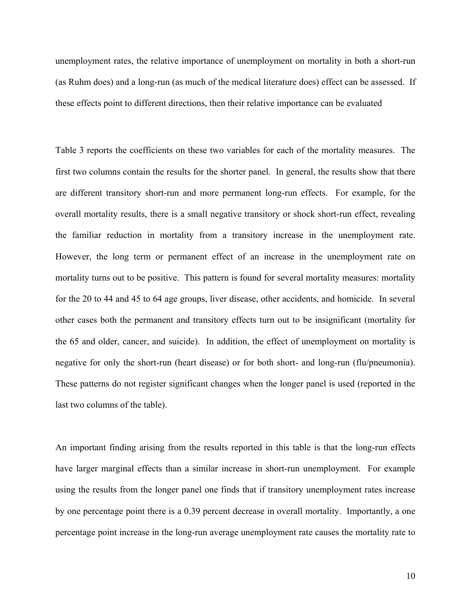unemployment rates, the relative importance of unemployment on mortality in both a short-run (as Ruhm does) and a long-run (as much of the medical literature does) effect can be assessed. If these effects point to different directions, then their relative importance can be evaluated

Table 3 reports the coefficients on these two variables for each of the mortality measures. The first two columns contain the results for the shorter panel. In general, the results show that there are different transitory short-run and more permanent long-run effects. For example, for the overall mortality results, there is a small negative transitory or shock short-run effect, revealing the familiar reduction in mortality from a transitory increase in the unemployment rate. However, the long term or permanent effect of an increase in the unemployment rate on mortality turns out to be positive. This pattern is found for several mortality measures: mortality for the 20 to 44 and 45 to 64 age groups, liver disease, other accidents, and homicide. In several other cases both the permanent and transitory effects turn out to be insignificant (mortality for the 65 and older, cancer, and suicide). In addition, the effect of unemployment on mortality is negative for only the short-run (heart disease) or for both short- and long-run (flu/pneumonia). These patterns do not register significant changes when the longer panel is used (reported in the last two columns of the table).

An important finding arising from the results reported in this table is that the long-run effects have larger marginal effects than a similar increase in short-run unemployment. For example using the results from the longer panel one finds that if transitory unemployment rates increase by one percentage point there is a 0.39 percent decrease in overall mortality. Importantly, a one percentage point increase in the long-run average unemployment rate causes the mortality rate to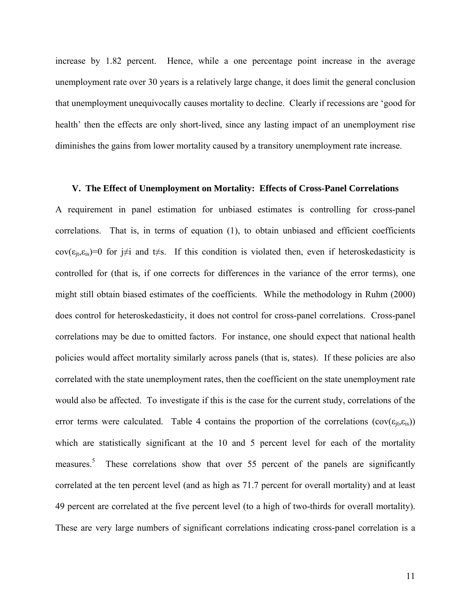increase by 1.82 percent. Hence, while a one percentage point increase in the average unemployment rate over 30 years is a relatively large change, it does limit the general conclusion that unemployment unequivocally causes mortality to decline. Clearly if recessions are 'good for health' then the effects are only short-lived, since any lasting impact of an unemployment rise diminishes the gains from lower mortality caused by a transitory unemployment rate increase.

#### **V. The Effect of Unemployment on Mortality: Effects of Cross-Panel Correlations**

A requirement in panel estimation for unbiased estimates is controlling for cross-panel correlations. That is, in terms of equation (1), to obtain unbiased and efficient coefficients cov( $\epsilon_{it}, \epsilon_{is}$ )=0 for j≠i and t≠s. If this condition is violated then, even if heteroskedasticity is controlled for (that is, if one corrects for differences in the variance of the error terms), one might still obtain biased estimates of the coefficients. While the methodology in Ruhm (2000) does control for heteroskedasticity, it does not control for cross-panel correlations. Cross-panel correlations may be due to omitted factors. For instance, one should expect that national health policies would affect mortality similarly across panels (that is, states). If these policies are also correlated with the state unemployment rates, then the coefficient on the state unemployment rate would also be affected. To investigate if this is the case for the current study, correlations of the error terms were calculated. Table 4 contains the proportion of the correlations ( $cov(\epsilon_{it}, \epsilon_{is})$ ) which are statistically significant at the 10 and 5 percent level for each of the mortality measures.<sup>5</sup> These correlations show that over 55 percent of the panels are significantly correlated at the ten percent level (and as high as 71.7 percent for overall mortality) and at least 49 percent are correlated at the five percent level (to a high of two-thirds for overall mortality). These are very large numbers of significant correlations indicating cross-panel correlation is a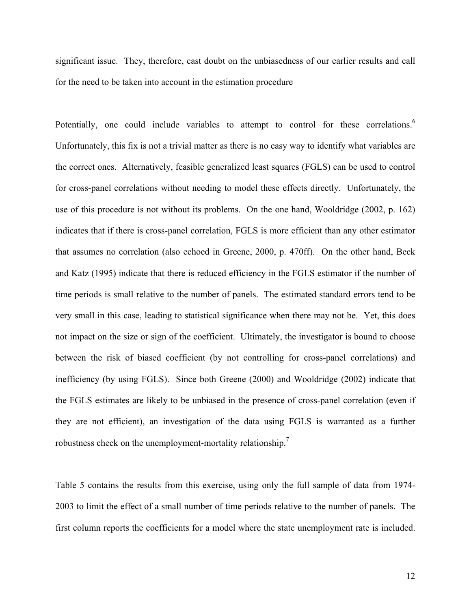significant issue. They, therefore, cast doubt on the unbiasedness of our earlier results and call for the need to be taken into account in the estimation procedure

Potentially, one could include variables to attempt to control for these correlations.<sup>6</sup> Unfortunately, this fix is not a trivial matter as there is no easy way to identify what variables are the correct ones. Alternatively, feasible generalized least squares (FGLS) can be used to control for cross-panel correlations without needing to model these effects directly. Unfortunately, the use of this procedure is not without its problems. On the one hand, Wooldridge (2002, p. 162) indicates that if there is cross-panel correlation, FGLS is more efficient than any other estimator that assumes no correlation (also echoed in Greene, 2000, p. 470ff). On the other hand, Beck and Katz (1995) indicate that there is reduced efficiency in the FGLS estimator if the number of time periods is small relative to the number of panels. The estimated standard errors tend to be very small in this case, leading to statistical significance when there may not be. Yet, this does not impact on the size or sign of the coefficient. Ultimately, the investigator is bound to choose between the risk of biased coefficient (by not controlling for cross-panel correlations) and inefficiency (by using FGLS). Since both Greene (2000) and Wooldridge (2002) indicate that the FGLS estimates are likely to be unbiased in the presence of cross-panel correlation (even if they are not efficient), an investigation of the data using FGLS is warranted as a further robustness check on the unemployment-mortality relationship.<sup>7</sup>

Table 5 contains the results from this exercise, using only the full sample of data from 1974- 2003 to limit the effect of a small number of time periods relative to the number of panels. The first column reports the coefficients for a model where the state unemployment rate is included.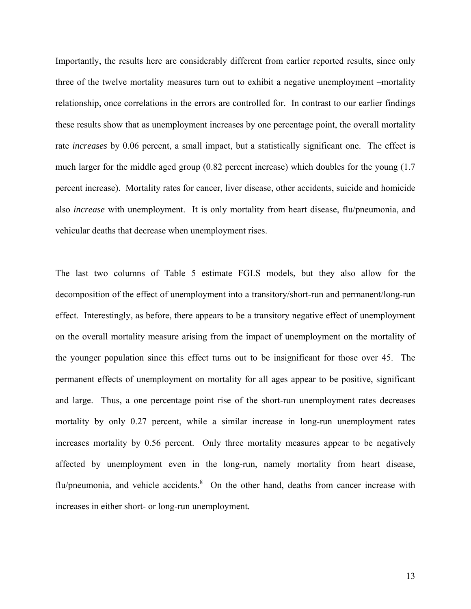Importantly, the results here are considerably different from earlier reported results, since only three of the twelve mortality measures turn out to exhibit a negative unemployment –mortality relationship, once correlations in the errors are controlled for. In contrast to our earlier findings these results show that as unemployment increases by one percentage point, the overall mortality rate *increases* by 0.06 percent, a small impact, but a statistically significant one. The effect is much larger for the middle aged group (0.82 percent increase) which doubles for the young (1.7 percent increase). Mortality rates for cancer, liver disease, other accidents, suicide and homicide also *increase* with unemployment. It is only mortality from heart disease, flu/pneumonia, and vehicular deaths that decrease when unemployment rises.

The last two columns of Table 5 estimate FGLS models, but they also allow for the decomposition of the effect of unemployment into a transitory/short-run and permanent/long-run effect. Interestingly, as before, there appears to be a transitory negative effect of unemployment on the overall mortality measure arising from the impact of unemployment on the mortality of the younger population since this effect turns out to be insignificant for those over 45. The permanent effects of unemployment on mortality for all ages appear to be positive, significant and large. Thus, a one percentage point rise of the short-run unemployment rates decreases mortality by only 0.27 percent, while a similar increase in long-run unemployment rates increases mortality by 0.56 percent. Only three mortality measures appear to be negatively affected by unemployment even in the long-run, namely mortality from heart disease, flu/pneumonia, and vehicle accidents.<sup>8</sup> On the other hand, deaths from cancer increase with increases in either short- or long-run unemployment.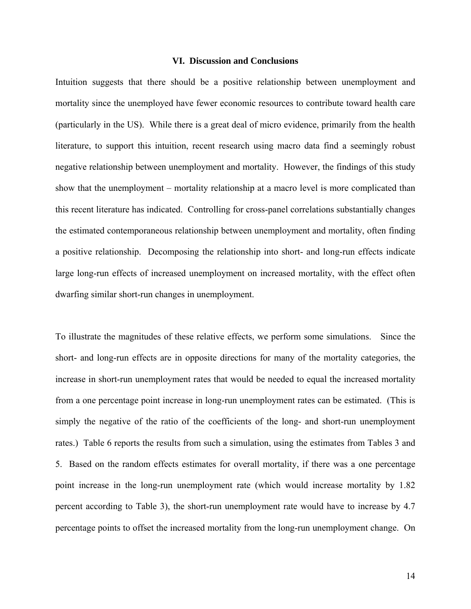#### **VI. Discussion and Conclusions**

Intuition suggests that there should be a positive relationship between unemployment and mortality since the unemployed have fewer economic resources to contribute toward health care (particularly in the US). While there is a great deal of micro evidence, primarily from the health literature, to support this intuition, recent research using macro data find a seemingly robust negative relationship between unemployment and mortality. However, the findings of this study show that the unemployment – mortality relationship at a macro level is more complicated than this recent literature has indicated. Controlling for cross-panel correlations substantially changes the estimated contemporaneous relationship between unemployment and mortality, often finding a positive relationship. Decomposing the relationship into short- and long-run effects indicate large long-run effects of increased unemployment on increased mortality, with the effect often dwarfing similar short-run changes in unemployment.

To illustrate the magnitudes of these relative effects, we perform some simulations. Since the short- and long-run effects are in opposite directions for many of the mortality categories, the increase in short-run unemployment rates that would be needed to equal the increased mortality from a one percentage point increase in long-run unemployment rates can be estimated. (This is simply the negative of the ratio of the coefficients of the long- and short-run unemployment rates.) Table 6 reports the results from such a simulation, using the estimates from Tables 3 and 5. Based on the random effects estimates for overall mortality, if there was a one percentage point increase in the long-run unemployment rate (which would increase mortality by 1.82 percent according to Table 3), the short-run unemployment rate would have to increase by 4.7 percentage points to offset the increased mortality from the long-run unemployment change. On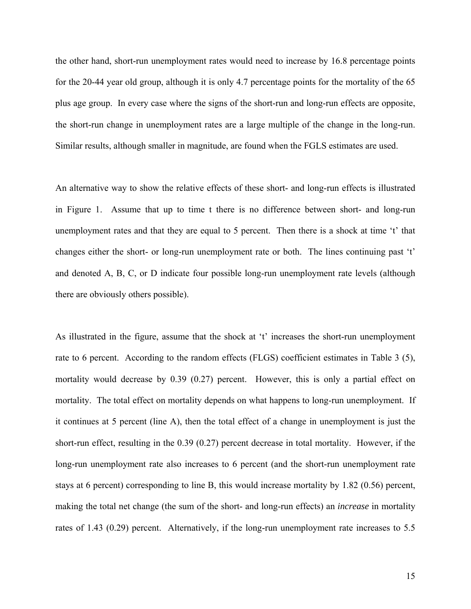the other hand, short-run unemployment rates would need to increase by 16.8 percentage points for the 20-44 year old group, although it is only 4.7 percentage points for the mortality of the 65 plus age group. In every case where the signs of the short-run and long-run effects are opposite, the short-run change in unemployment rates are a large multiple of the change in the long-run. Similar results, although smaller in magnitude, are found when the FGLS estimates are used.

An alternative way to show the relative effects of these short- and long-run effects is illustrated in Figure 1. Assume that up to time t there is no difference between short- and long-run unemployment rates and that they are equal to 5 percent. Then there is a shock at time 't' that changes either the short- or long-run unemployment rate or both. The lines continuing past 't' and denoted A, B, C, or D indicate four possible long-run unemployment rate levels (although there are obviously others possible).

As illustrated in the figure, assume that the shock at 't' increases the short-run unemployment rate to 6 percent. According to the random effects (FLGS) coefficient estimates in Table 3 (5), mortality would decrease by 0.39 (0.27) percent. However, this is only a partial effect on mortality. The total effect on mortality depends on what happens to long-run unemployment. If it continues at 5 percent (line A), then the total effect of a change in unemployment is just the short-run effect, resulting in the 0.39 (0.27) percent decrease in total mortality. However, if the long-run unemployment rate also increases to 6 percent (and the short-run unemployment rate stays at 6 percent) corresponding to line B, this would increase mortality by 1.82 (0.56) percent, making the total net change (the sum of the short- and long-run effects) an *increase* in mortality rates of 1.43 (0.29) percent. Alternatively, if the long-run unemployment rate increases to 5.5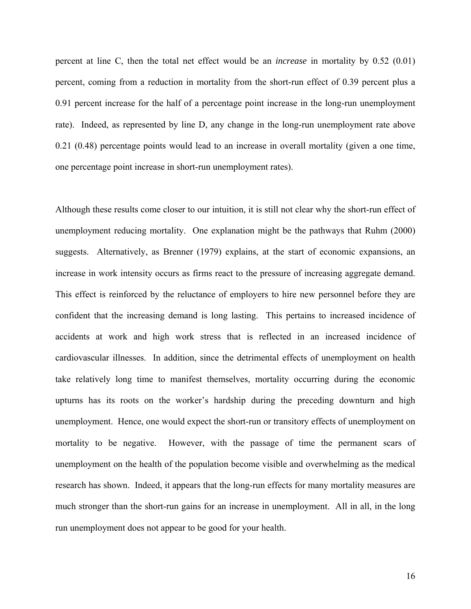percent at line C, then the total net effect would be an *increase* in mortality by 0.52 (0.01) percent, coming from a reduction in mortality from the short-run effect of 0.39 percent plus a 0.91 percent increase for the half of a percentage point increase in the long-run unemployment rate). Indeed, as represented by line D, any change in the long-run unemployment rate above 0.21 (0.48) percentage points would lead to an increase in overall mortality (given a one time, one percentage point increase in short-run unemployment rates).

Although these results come closer to our intuition, it is still not clear why the short-run effect of unemployment reducing mortality. One explanation might be the pathways that Ruhm (2000) suggests. Alternatively, as Brenner (1979) explains, at the start of economic expansions, an increase in work intensity occurs as firms react to the pressure of increasing aggregate demand. This effect is reinforced by the reluctance of employers to hire new personnel before they are confident that the increasing demand is long lasting. This pertains to increased incidence of accidents at work and high work stress that is reflected in an increased incidence of cardiovascular illnesses. In addition, since the detrimental effects of unemployment on health take relatively long time to manifest themselves, mortality occurring during the economic upturns has its roots on the worker's hardship during the preceding downturn and high unemployment. Hence, one would expect the short-run or transitory effects of unemployment on mortality to be negative. However, with the passage of time the permanent scars of unemployment on the health of the population become visible and overwhelming as the medical research has shown. Indeed, it appears that the long-run effects for many mortality measures are much stronger than the short-run gains for an increase in unemployment. All in all, in the long run unemployment does not appear to be good for your health.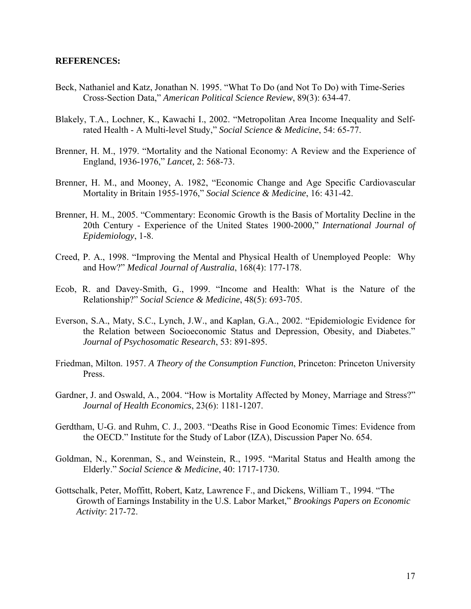#### **REFERENCES:**

- Beck, Nathaniel and Katz, Jonathan N. 1995. "What To Do (and Not To Do) with Time-Series Cross-Section Data," *American Political Science Review*, 89(3): 634-47.
- Blakely, T.A., Lochner, K., Kawachi I., 2002. "Metropolitan Area Income Inequality and Selfrated Health - A Multi-level Study," *Social Science & Medicine*, 54: 65-77.
- Brenner, H. M., 1979. "Mortality and the National Economy: A Review and the Experience of England, 1936-1976," *Lancet,* 2: 568-73.
- Brenner, H. M., and Mooney, A. 1982, "Economic Change and Age Specific Cardiovascular Mortality in Britain 1955-1976," *Social Science & Medicine*, 16: 431-42.
- Brenner, H. M., 2005. "Commentary: Economic Growth is the Basis of Mortality Decline in the 20th Century - Experience of the United States 1900-2000," *International Journal of Epidemiology*, 1-8.
- Creed, P. A., 1998. "Improving the Mental and Physical Health of Unemployed People: Why and How?" *Medical Journal of Australia*, 168(4): 177-178.
- Ecob, R. and Davey-Smith, G., 1999. "Income and Health: What is the Nature of the Relationship?" *Social Science & Medicine*, 48(5): 693-705.
- Everson, S.A., Maty, S.C., Lynch, J.W., and Kaplan, G.A., 2002. "Epidemiologic Evidence for the Relation between Socioeconomic Status and Depression, Obesity, and Diabetes." *Journal of Psychosomatic Research*, 53: 891-895.
- Friedman, Milton. 1957. *A Theory of the Consumption Function*, Princeton: Princeton University Press.
- Gardner, J. and Oswald, A., 2004. "How is Mortality Affected by Money, Marriage and Stress?" *Journal of Health Economics*, 23(6): 1181-1207.
- Gerdtham, U-G. and Ruhm, C. J., 2003. "Deaths Rise in Good Economic Times: Evidence from the OECD." Institute for the Study of Labor (IZA), Discussion Paper No. 654.
- Goldman, N., Korenman, S., and Weinstein, R., 1995. "Marital Status and Health among the Elderly." *Social Science & Medicine*, 40: 1717-1730.
- Gottschalk, Peter, Moffitt, Robert, Katz, Lawrence F., and Dickens, William T., 1994. "The Growth of Earnings Instability in the U.S. Labor Market," *Brookings Papers on Economic Activity*: 217-72.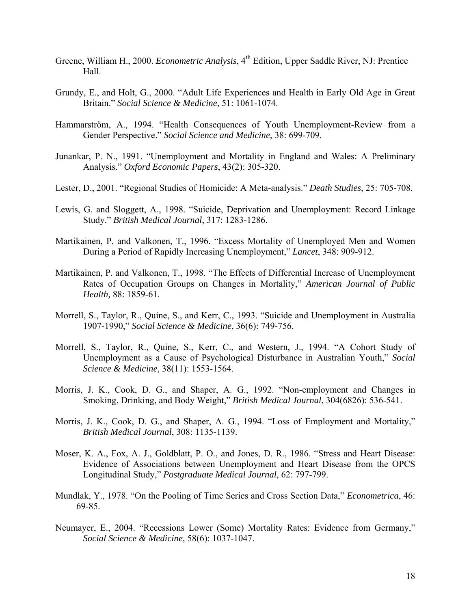- Greene, William H., 2000. *Econometric Analysis*, 4<sup>th</sup> Edition, Upper Saddle River, NJ: Prentice Hall.
- Grundy, E., and Holt, G., 2000. "Adult Life Experiences and Health in Early Old Age in Great Britain." *Social Science & Medicine*, 51: 1061-1074.
- Hammarström, A., 1994. "Health Consequences of Youth Unemployment-Review from a Gender Perspective." *Social Science and Medicine*, 38: 699-709.
- Junankar, P. N., 1991. "Unemployment and Mortality in England and Wales: A Preliminary Analysis." *Oxford Economic Papers*, 43(2): 305-320.
- Lester, D., 2001. "Regional Studies of Homicide: A Meta-analysis." *Death Studies*, 25: 705-708.
- Lewis, G. and Sloggett, A., 1998. "Suicide, Deprivation and Unemployment: Record Linkage Study." *British Medical Journal*, 317: 1283-1286.
- Martikainen, P. and Valkonen, T., 1996. "Excess Mortality of Unemployed Men and Women During a Period of Rapidly Increasing Unemployment," *Lancet*, 348: 909-912.
- Martikainen, P. and Valkonen, T., 1998. "The Effects of Differential Increase of Unemployment Rates of Occupation Groups on Changes in Mortality," *American Journal of Public Health,* 88: 1859-61.
- Morrell, S., Taylor, R., Quine, S., and Kerr, C., 1993. "Suicide and Unemployment in Australia 1907-1990," *Social Science & Medicine*, 36(6): 749-756.
- Morrell, S., Taylor, R., Quine, S., Kerr, C., and Western, J., 1994. "A Cohort Study of Unemployment as a Cause of Psychological Disturbance in Australian Youth," *Social Science & Medicine*, 38(11): 1553-1564.
- Morris, J. K., Cook, D. G., and Shaper, A. G., 1992. "Non-employment and Changes in Smoking, Drinking, and Body Weight," *British Medical Journal*, 304(6826): 536-541.
- Morris, J. K., Cook, D. G., and Shaper, A. G., 1994. "Loss of Employment and Mortality," *British Medical Journal*, 308: 1135-1139.
- Moser, K. A., Fox, A. J., Goldblatt, P. O., and Jones, D. R., 1986. "Stress and Heart Disease: Evidence of Associations between Unemployment and Heart Disease from the OPCS Longitudinal Study," *Postgraduate Medical Journal*, 62: 797-799.
- Mundlak, Y., 1978. "On the Pooling of Time Series and Cross Section Data," *Econometrica*, 46: 69-85.
- Neumayer, E., 2004. "Recessions Lower (Some) Mortality Rates: Evidence from Germany," *Social Science & Medicine*, 58(6): 1037-1047.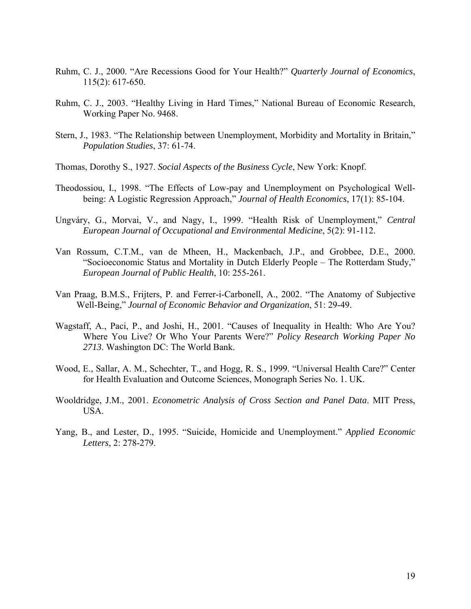- Ruhm, C. J., 2000. "Are Recessions Good for Your Health?" *Quarterly Journal of Economics*, 115(2): 617-650.
- Ruhm, C. J., 2003. "Healthy Living in Hard Times," National Bureau of Economic Research, Working Paper No. 9468.
- Stern, J., 1983. "The Relationship between Unemployment, Morbidity and Mortality in Britain," *Population Studies*, 37: 61-74.
- Thomas, Dorothy S., 1927. *Social Aspects of the Business Cycle*, New York: Knopf.
- Theodossiou, I., 1998. "The Effects of Low-pay and Unemployment on Psychological Wellbeing: A Logistic Regression Approach," *Journal of Health Economics*, 17(1): 85-104.
- Ungváry, G., Morvai, V., and Nagy, I., 1999. "Health Risk of Unemployment," *Central European Journal of Occupational and Environmental Medicine*, 5(2): 91-112.
- Van Rossum, C.T.M., van de Mheen, H., Mackenbach, J.P., and Grobbee, D.E., 2000. "Socioeconomic Status and Mortality in Dutch Elderly People – The Rotterdam Study," *European Journal of Public Health*, 10: 255-261.
- Van Praag, B.M.S., Frijters, P. and Ferrer-i-Carbonell, A., 2002. "The Anatomy of Subjective Well-Being," *Journal of Economic Behavior and Organization*, 51: 29-49.
- Wagstaff, A., Paci, P., and Joshi, H., 2001. "Causes of Inequality in Health: Who Are You? Where You Live? Or Who Your Parents Were?" *Policy Research Working Paper No 2713*. Washington DC: The World Bank.
- Wood, E., Sallar, A. M., Schechter, T., and Hogg, R. S., 1999. "Universal Health Care?" Center for Health Evaluation and Outcome Sciences, Monograph Series No. 1. UK.
- Wooldridge, J.M., 2001. *Econometric Analysis of Cross Section and Panel Data*. MIT Press, USA.
- Yang, B., and Lester, D., 1995. "Suicide, Homicide and Unemployment." *Applied Economic Letters*, 2: 278-279.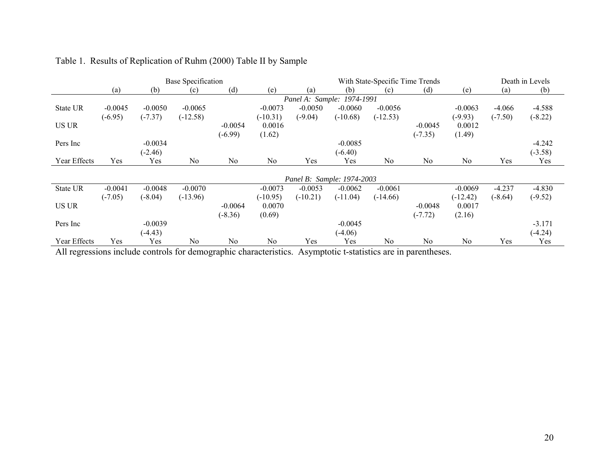|              | <b>Base Specification</b> |           |            |           |            | With State-Specific Time Trends |                            |            |                | Death in Levels |           |           |
|--------------|---------------------------|-----------|------------|-----------|------------|---------------------------------|----------------------------|------------|----------------|-----------------|-----------|-----------|
|              | (a)                       | (b)       | (c)        | (d)       | (e)        | (a)                             | (b)                        | (c)        | (d)            | (e)             | (a)       | (b)       |
|              |                           |           |            |           |            |                                 | Panel A: Sample: 1974-1991 |            |                |                 |           |           |
| State UR     | $-0.0045$                 | $-0.0050$ | $-0.0065$  |           | $-0.0073$  | $-0.0050$                       | $-0.0060$                  | $-0.0056$  |                | $-0.0063$       | $-4.066$  | $-4.588$  |
|              | $(-6.95)$                 | $(-7.37)$ | $(-12.58)$ |           | $(-10.31)$ | $(-9.04)$                       | $(-10.68)$                 | $(-12.53)$ |                | $(-9.93)$       | $(-7.50)$ | $(-8.22)$ |
| <b>US UR</b> |                           |           |            | $-0.0054$ | 0.0016     |                                 |                            |            | $-0.0045$      | 0.0012          |           |           |
|              |                           |           |            | $(-6.99)$ | (1.62)     |                                 |                            |            | $(-7.35)$      | (1.49)          |           |           |
| Pers Inc     |                           | $-0.0034$ |            |           |            |                                 | $-0.0085$                  |            |                |                 |           | $-4.242$  |
|              |                           | $(-2.46)$ |            |           |            |                                 | $(-6.40)$                  |            |                |                 |           | $(-3.58)$ |
| Year Effects | Yes                       | Yes       | No         | No        | No         | Yes                             | Yes                        | No         | N <sub>0</sub> | No              | Yes       | Yes       |
|              |                           |           |            |           |            |                                 |                            |            |                |                 |           |           |
|              |                           |           |            |           |            |                                 | Panel B: Sample: 1974-2003 |            |                |                 |           |           |
| State UR     | $-0.0041$                 | $-0.0048$ | $-0.0070$  |           | $-0.0073$  | $-0.0053$                       | $-0.0062$                  | $-0.0061$  |                | $-0.0069$       | $-4.237$  | $-4.830$  |
|              | $(-7.05)$                 | $(-8.04)$ | $(-13.96)$ |           | $(-10.95)$ | $(-10.21)$                      | $(-11.04)$                 | $(-14.66)$ |                | $(-12.42)$      | $(-8.64)$ | $(-9.52)$ |
| <b>US UR</b> |                           |           |            | $-0.0064$ | 0.0070     |                                 |                            |            | $-0.0048$      | 0.0017          |           |           |
|              |                           |           |            | $(-8.36)$ | (0.69)     |                                 |                            |            | $(-7.72)$      | (2.16)          |           |           |
| Pers Inc     |                           | $-0.0039$ |            |           |            |                                 | $-0.0045$                  |            |                |                 |           | $-3.171$  |
|              |                           | $(-4.43)$ |            |           |            |                                 | $(-4.06)$                  |            |                |                 |           | $(-4.24)$ |
| Year Effects | Yes                       | Yes       | No         | No        | No         | Yes                             | Yes                        | No         | N <sub>0</sub> | No              | Yes       | Yes       |

## Table 1. Results of Replication of Ruhm (2000) Table II by Sample

All regressions include controls for demographic characteristics. Asymptotic t-statistics are in parentheses.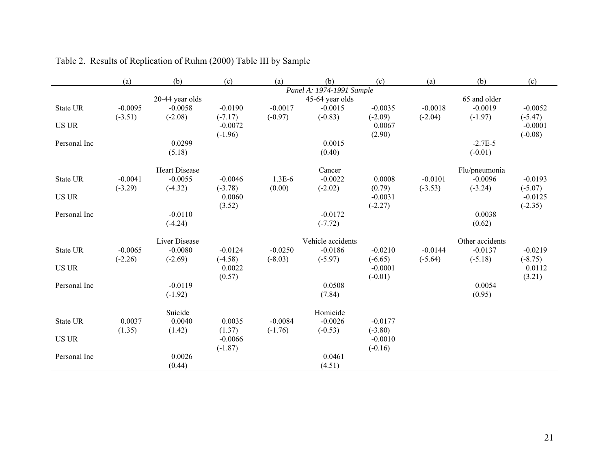|              | (a)       | (b)                  | (c)                 | (a)       | (b)                       | (c)                    | (a)       | (b)             | (c)                 |
|--------------|-----------|----------------------|---------------------|-----------|---------------------------|------------------------|-----------|-----------------|---------------------|
|              |           |                      |                     |           | Panel A: 1974-1991 Sample |                        |           |                 |                     |
|              |           | 20-44 year olds      |                     |           | 45-64 year olds           |                        |           | 65 and older    |                     |
| State UR     | $-0.0095$ | $-0.0058$            | $-0.0190$           | $-0.0017$ | $-0.0015$                 | $-0.0035$              | $-0.0018$ | $-0.0019$       | $-0.0052$           |
|              | $(-3.51)$ | $(-2.08)$            | $(-7.17)$           | $(-0.97)$ | $(-0.83)$                 | $(-2.09)$              | $(-2.04)$ | $(-1.97)$       | $(-5.47)$           |
| <b>US UR</b> |           |                      | $-0.0072$           |           |                           | 0.0067                 |           |                 | $-0.0001$           |
|              |           |                      | $(-1.96)$           |           |                           | (2.90)                 |           |                 | $(-0.08)$           |
| Personal Inc |           | 0.0299               |                     |           | 0.0015                    |                        |           | $-2.7E-5$       |                     |
|              |           | (5.18)               |                     |           | (0.40)                    |                        |           | $(-0.01)$       |                     |
|              |           | <b>Heart Disease</b> |                     |           | Cancer                    |                        |           | Flu/pneumonia   |                     |
| State UR     | $-0.0041$ | $-0.0055$            | $-0.0046$           | $1.3E-6$  | $-0.0022$                 | 0.0008                 | $-0.0101$ | $-0.0096$       | $-0.0193$           |
|              | $(-3.29)$ | $(-4.32)$            | $(-3.78)$           | (0.00)    | $(-2.02)$                 | (0.79)                 | $(-3.53)$ | $(-3.24)$       | $(-5.07)$           |
| <b>US UR</b> |           |                      | 0.0060              |           |                           | $-0.0031$              |           |                 | $-0.0125$           |
|              |           |                      | (3.52)              |           |                           | $(-2.27)$              |           |                 | $(-2.35)$           |
| Personal Inc |           | $-0.0110$            |                     |           | $-0.0172$                 |                        |           | 0.0038          |                     |
|              |           | $(-4.24)$            |                     |           | $(-7.72)$                 |                        |           | (0.62)          |                     |
|              |           |                      |                     |           |                           |                        |           |                 |                     |
|              |           | <b>Liver Disease</b> |                     |           | Vehicle accidents         |                        |           | Other accidents |                     |
| State UR     | $-0.0065$ | $-0.0080$            | $-0.0124$           | $-0.0250$ | $-0.0186$                 | $-0.0210$              | $-0.0144$ | $-0.0137$       | $-0.0219$           |
| <b>US UR</b> | $(-2.26)$ | $(-2.69)$            | $(-4.58)$<br>0.0022 | $(-8.03)$ | $(-5.97)$                 | $(-6.65)$<br>$-0.0001$ | $(-5.64)$ | $(-5.18)$       | $(-8.75)$<br>0.0112 |
|              |           |                      | (0.57)              |           |                           | $(-0.01)$              |           |                 | (3.21)              |
| Personal Inc |           | $-0.0119$            |                     |           | 0.0508                    |                        |           | 0.0054          |                     |
|              |           | $(-1.92)$            |                     |           | (7.84)                    |                        |           | (0.95)          |                     |
|              |           |                      |                     |           |                           |                        |           |                 |                     |
|              |           | Suicide              |                     |           | Homicide                  |                        |           |                 |                     |
| State UR     | 0.0037    | 0.0040               | 0.0035              | $-0.0084$ | $-0.0026$                 | $-0.0177$              |           |                 |                     |
|              | (1.35)    | (1.42)               | (1.37)              | $(-1.76)$ | $(-0.53)$                 | $(-3.80)$              |           |                 |                     |
| <b>US UR</b> |           |                      | $-0.0066$           |           |                           | $-0.0010$              |           |                 |                     |
|              |           |                      | $(-1.87)$           |           |                           | $(-0.16)$              |           |                 |                     |
| Personal Inc |           | 0.0026               |                     |           | 0.0461                    |                        |           |                 |                     |
|              |           | (0.44)               |                     |           | (4.51)                    |                        |           |                 |                     |

## Table 2. Results of Replication of Ruhm (2000) Table III by Sample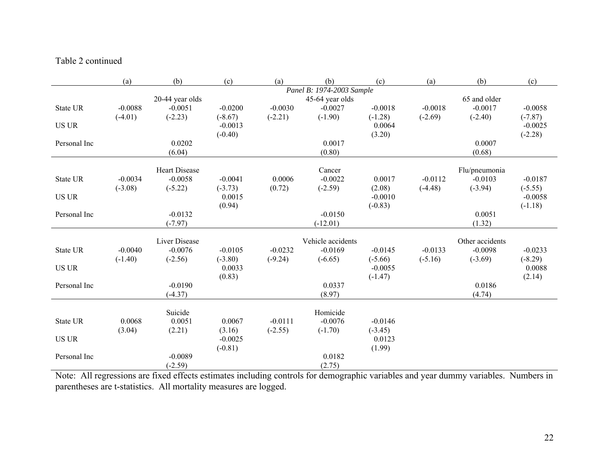#### Table 2 continued

|              | (a)                       | (b)                  | (c)                 | (a)       | (b)               | (c)                 | (a)       | (b)             | (c)       |
|--------------|---------------------------|----------------------|---------------------|-----------|-------------------|---------------------|-----------|-----------------|-----------|
|              | Panel B: 1974-2003 Sample |                      |                     |           |                   |                     |           |                 |           |
|              |                           | 20-44 year olds      |                     |           | 45-64 year olds   |                     |           | 65 and older    |           |
| State UR     | $-0.0088$                 | $-0.0051$            | $-0.0200$           | $-0.0030$ | $-0.0027$         | $-0.0018$           | $-0.0018$ | $-0.0017$       | $-0.0058$ |
|              | $(-4.01)$                 | $(-2.23)$            | $(-8.67)$           | $(-2.21)$ | $(-1.90)$         | $(-1.28)$           | $(-2.69)$ | $(-2.40)$       | $(-7.87)$ |
| <b>US UR</b> |                           |                      | $-0.0013$           |           |                   | 0.0064              |           |                 | $-0.0025$ |
|              |                           | 0.0202               | $(-0.40)$           |           | 0.0017            | (3.20)              |           | 0.0007          | $(-2.28)$ |
| Personal Inc |                           | (6.04)               |                     |           | (0.80)            |                     |           | (0.68)          |           |
|              |                           |                      |                     |           |                   |                     |           |                 |           |
|              |                           | <b>Heart Disease</b> |                     |           | Cancer            |                     |           | Flu/pneumonia   |           |
| State UR     | $-0.0034$                 | $-0.0058$            | $-0.0041$           | 0.0006    | $-0.0022$         | 0.0017              | $-0.0112$ | $-0.0103$       | $-0.0187$ |
|              | $(-3.08)$                 | $(-5.22)$            | $(-3.73)$           | (0.72)    | $(-2.59)$         | (2.08)              | $(-4.48)$ | $(-3.94)$       | $(-5.55)$ |
| <b>US UR</b> |                           |                      | 0.0015              |           |                   | $-0.0010$           |           |                 | $-0.0058$ |
|              |                           |                      | (0.94)              |           |                   | $(-0.83)$           |           |                 | $(-1.18)$ |
| Personal Inc |                           | $-0.0132$            |                     |           | $-0.0150$         |                     |           | 0.0051          |           |
|              |                           | $(-7.97)$            |                     |           | $(-12.01)$        |                     |           | (1.32)          |           |
|              |                           | Liver Disease        |                     |           | Vehicle accidents |                     |           | Other accidents |           |
| State UR     | $-0.0040$                 | $-0.0076$            | $-0.0105$           | $-0.0232$ | $-0.0169$         | $-0.0145$           | $-0.0133$ | $-0.0098$       | $-0.0233$ |
|              | $(-1.40)$                 | $(-2.56)$            | $(-3.80)$           | $(-9.24)$ | $(-6.65)$         | $(-5.66)$           | $(-5.16)$ | $(-3.69)$       | $(-8.29)$ |
| <b>US UR</b> |                           |                      | 0.0033              |           |                   | $-0.0055$           |           |                 | 0.0088    |
|              |                           |                      | (0.83)              |           |                   | $(-1.47)$           |           |                 | (2.14)    |
| Personal Inc |                           | $-0.0190$            |                     |           | 0.0337            |                     |           | 0.0186          |           |
|              |                           | $(-4.37)$            |                     |           | (8.97)            |                     |           | (4.74)          |           |
|              |                           |                      |                     |           |                   |                     |           |                 |           |
|              |                           | Suicide              |                     |           | Homicide          |                     |           |                 |           |
| State UR     | 0.0068                    | 0.0051               | 0.0067              | $-0.0111$ | $-0.0076$         | $-0.0146$           |           |                 |           |
| <b>US UR</b> | (3.04)                    | (2.21)               | (3.16)<br>$-0.0025$ | $(-2.55)$ | $(-1.70)$         | $(-3.45)$<br>0.0123 |           |                 |           |
|              |                           |                      | $(-0.81)$           |           |                   | (1.99)              |           |                 |           |
| Personal Inc |                           | $-0.0089$            |                     |           | 0.0182            |                     |           |                 |           |
|              |                           | $(-2.59)$            |                     |           | (2.75)            |                     |           |                 |           |

Note: All regressions are fixed effects estimates including controls for demographic variables and year dummy variables. Numbers in parentheses are t-statistics. All mortality measures are logged.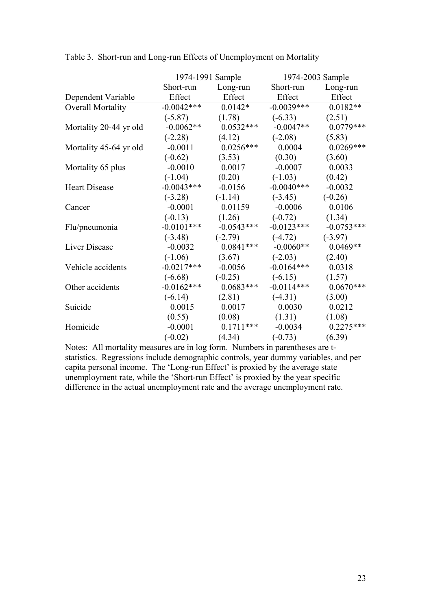|                        |              | 1974-1991 Sample |              | 1974-2003 Sample |
|------------------------|--------------|------------------|--------------|------------------|
|                        | Short-run    | Long-run         | Short-run    | Long-run         |
| Dependent Variable     | Effect       | Effect           | Effect       | Effect           |
| Overall Mortality      | $-0.0042***$ | $0.0142*$        | $-0.0039***$ | $0.0182**$       |
|                        | $(-5.87)$    | (1.78)           | $(-6.33)$    | (2.51)           |
| Mortality 20-44 yr old | $-0.0062**$  | $0.0532***$      | $-0.0047**$  | $0.0779***$      |
|                        | $(-2.28)$    | (4.12)           | $(-2.08)$    | (5.83)           |
| Mortality 45-64 yr old | $-0.0011$    | $0.0256***$      | 0.0004       | $0.0269***$      |
|                        | $(-0.62)$    | (3.53)           | (0.30)       | (3.60)           |
| Mortality 65 plus      | $-0.0010$    | 0.0017           | $-0.0007$    | 0.0033           |
|                        | $(-1.04)$    | (0.20)           | $(-1.03)$    | (0.42)           |
| <b>Heart Disease</b>   | $-0.0043***$ | $-0.0156$        | $-0.0040***$ | $-0.0032$        |
|                        | $(-3.28)$    | $(-1.14)$        | $(-3.45)$    | $(-0.26)$        |
| Cancer                 | $-0.0001$    | 0.01159          | $-0.0006$    | 0.0106           |
|                        | $(-0.13)$    | (1.26)           | $(-0.72)$    | (1.34)           |
| Flu/pneumonia          | $-0.0101***$ | $-0.0543***$     | $-0.0123***$ | $-0.0753***$     |
|                        | $(-3.48)$    | $(-2.79)$        | $(-4.72)$    | $(-3.97)$        |
| Liver Disease          | $-0.0032$    | $0.0841***$      | $-0.0060**$  | $0.0469**$       |
|                        | $(-1.06)$    | (3.67)           | $(-2.03)$    | (2.40)           |
| Vehicle accidents      | $-0.0217***$ | $-0.0056$        | $-0.0164***$ | 0.0318           |
|                        | $(-6.68)$    | $(-0.25)$        | $(-6.15)$    | (1.57)           |
| Other accidents        | $-0.0162***$ | $0.0683***$      | $-0.0114***$ | $0.0670***$      |
|                        | $(-6.14)$    | (2.81)           | $(-4.31)$    | (3.00)           |
| Suicide                | 0.0015       | 0.0017           | 0.0030       | 0.0212           |
|                        | (0.55)       | (0.08)           | (1.31)       | (1.08)           |
| Homicide               | $-0.0001$    | $0.1711***$      | $-0.0034$    | $0.2275***$      |
|                        | $(-0.02)$    | (4.34)           | $(-0.73)$    | (6.39)           |

Table 3. Short-run and Long-run Effects of Unemployment on Mortality

Notes: All mortality measures are in log form. Numbers in parentheses are tstatistics. Regressions include demographic controls, year dummy variables, and per capita personal income. The 'Long-run Effect' is proxied by the average state unemployment rate, while the 'Short-run Effect' is proxied by the year specific difference in the actual unemployment rate and the average unemployment rate.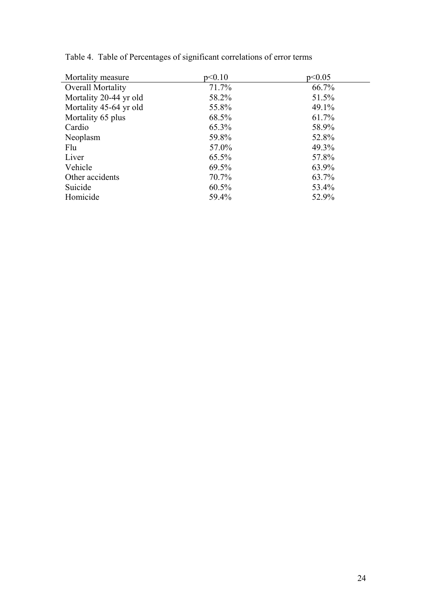| Mortality measure      | p<0.10 | p<0.05 |
|------------------------|--------|--------|
| Overall Mortality      | 71.7%  | 66.7%  |
| Mortality 20-44 yr old | 58.2%  | 51.5%  |
| Mortality 45-64 yr old | 55.8%  | 49.1%  |
| Mortality 65 plus      | 68.5%  | 61.7%  |
| Cardio                 | 65.3%  | 58.9%  |
| Neoplasm               | 59.8%  | 52.8%  |
| Flu                    | 57.0%  | 49.3%  |
| Liver                  | 65.5%  | 57.8%  |
| Vehicle                | 69.5%  | 63.9%  |
| Other accidents        | 70.7%  | 63.7%  |
| Suicide                | 60.5%  | 53.4%  |
| Homicide               | 59.4%  | 52.9%  |

Table 4. Table of Percentages of significant correlations of error terms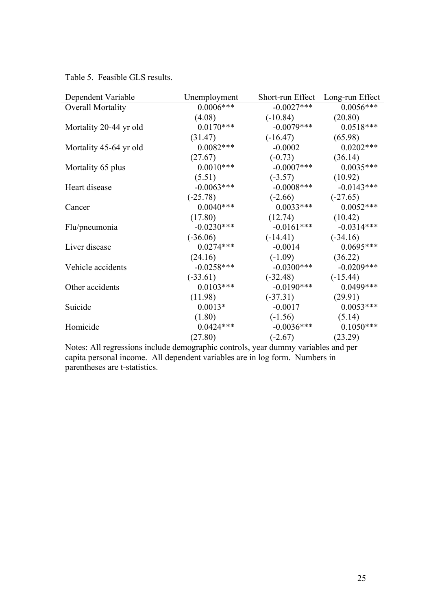Table 5. Feasible GLS results.

| Dependent Variable       | Unemployment | Short-run Effect Long-run Effect |               |
|--------------------------|--------------|----------------------------------|---------------|
| <b>Overall Mortality</b> | $0.0006***$  | $-0.0027***$                     | $0.0056***$   |
|                          | (4.08)       | $(-10.84)$                       | (20.80)       |
| Mortality 20-44 yr old   | $0.0170***$  | $-0.0079***$                     | $0.0518***$   |
|                          | (31.47)      | $(-16.47)$                       | (65.98)       |
| Mortality 45-64 yr old   | $0.0082***$  | $-0.0002$                        | $0.0202***$   |
|                          | (27.67)      | $(-0.73)$                        | (36.14)       |
| Mortality 65 plus        | $0.0010***$  | $-0.0007$ ***                    | $0.0035***$   |
|                          | (5.51)       | $(-3.57)$                        | (10.92)       |
| Heart disease            | $-0.0063***$ | $-0.0008***$                     | $-0.0143***$  |
|                          | $(-25.78)$   | $(-2.66)$                        | $(-27.65)$    |
| Cancer                   | $0.0040***$  | $0.0033***$                      | $0.0052***$   |
|                          | (17.80)      | (12.74)                          | (10.42)       |
| Flu/pneumonia            | $-0.0230***$ | $-0.0161***$                     | $-0.0314***$  |
|                          | $(-36.06)$   | $(-14.41)$                       | $(-34.16)$    |
| Liver disease            | $0.0274***$  | $-0.0014$                        | $0.0695***$   |
|                          | (24.16)      | $(-1.09)$                        | (36.22)       |
| Vehicle accidents        | $-0.0258***$ | $-0.0300$ ***                    | $-0.0209$ *** |
|                          | $(-33.61)$   | $(-32.48)$                       | $(-15.44)$    |
| Other accidents          | $0.0103***$  | $-0.0190***$                     | 0.0499***     |
|                          | (11.98)      | $(-37.31)$                       | (29.91)       |
| Suicide                  | $0.0013*$    | $-0.0017$                        | $0.0053***$   |
|                          | (1.80)       | $(-1.56)$                        | (5.14)        |
| Homicide                 | $0.0424***$  | $-0.0036***$                     | $0.1050***$   |
|                          | (27.80)      | $(-2.67)$                        | (23.29)       |

Notes: All regressions include demographic controls, year dummy variables and per capita personal income. All dependent variables are in log form. Numbers in parentheses are t-statistics.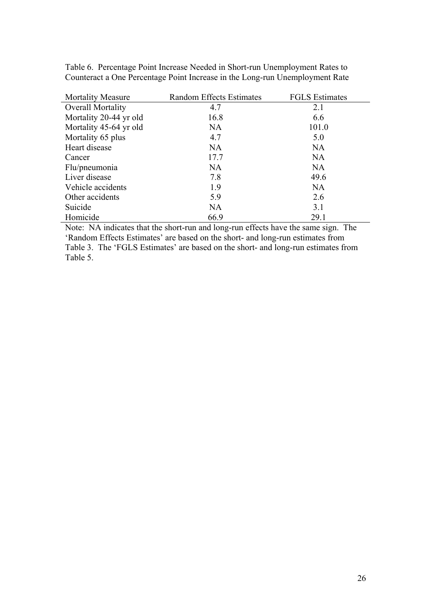| <b>Mortality Measure</b> | <b>Random Effects Estimates</b> | <b>FGLS</b> Estimates |
|--------------------------|---------------------------------|-----------------------|
| <b>Overall Mortality</b> | 4.7                             | 2.1                   |
| Mortality 20-44 yr old   | 16.8                            | 6.6                   |
| Mortality 45-64 yr old   | <b>NA</b>                       | 101.0                 |
| Mortality 65 plus        | 4.7                             | 5.0                   |
| Heart disease            | <b>NA</b>                       | <b>NA</b>             |
| Cancer                   | 17.7                            | <b>NA</b>             |
| Flu/pneumonia            | <b>NA</b>                       | <b>NA</b>             |
| Liver disease            | 7.8                             | 49.6                  |
| Vehicle accidents        | 1.9                             | <b>NA</b>             |
| Other accidents          | 5.9                             | 2.6                   |
| Suicide                  | NA                              | 3.1                   |
| Homicide                 | 66.9                            | 29.1                  |

Table 6. Percentage Point Increase Needed in Short-run Unemployment Rates to Counteract a One Percentage Point Increase in the Long-run Unemployment Rate

Note: NA indicates that the short-run and long-run effects have the same sign. The 'Random Effects Estimates' are based on the short- and long-run estimates from Table 3. The 'FGLS Estimates' are based on the short- and long-run estimates from Table 5.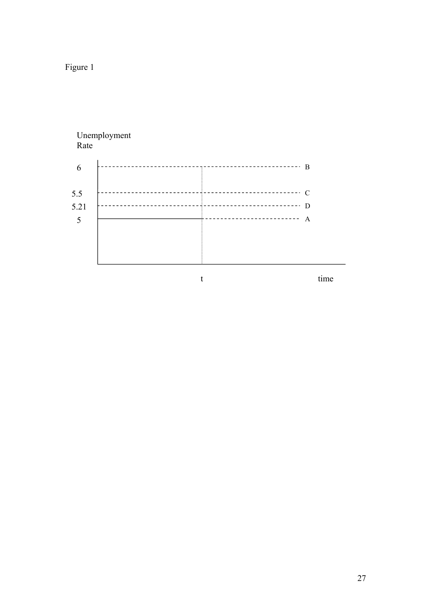Figure 1

# Unemployment Rate 6 B time 5.5 C 5.21 D 5  $\overline{\phantom{a}}$   $\overline{\phantom{a}}$   $\overline{\phantom{a}}$   $\overline{\phantom{a}}$   $\overline{\phantom{a}}$   $\overline{\phantom{a}}$   $\overline{\phantom{a}}$   $\overline{\phantom{a}}$   $\overline{\phantom{a}}$   $\overline{\phantom{a}}$   $\overline{\phantom{a}}$   $\overline{\phantom{a}}$   $\overline{\phantom{a}}$   $\overline{\phantom{a}}$   $\overline{\phantom{a}}$   $\overline{\phantom{a}}$   $\overline{\phantom{a}}$   $\overline{\phantom{a}}$   $\over$ t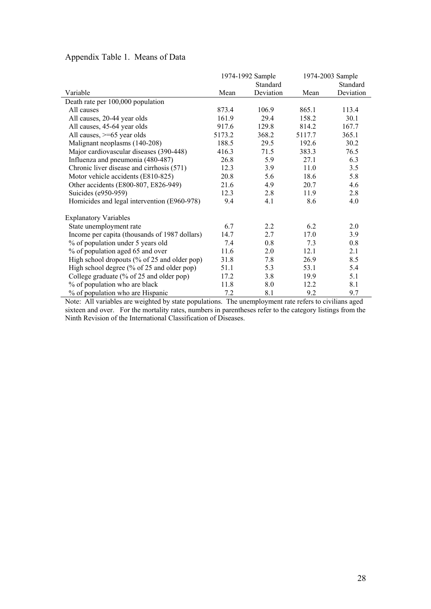|                                               |        | 1974-1992 Sample<br>Standard |        | 1974-2003 Sample<br>Standard |
|-----------------------------------------------|--------|------------------------------|--------|------------------------------|
| Variable                                      | Mean   | Deviation                    | Mean   | Deviation                    |
| Death rate per 100,000 population             |        |                              |        |                              |
| All causes                                    | 873.4  | 106.9                        | 865.1  | 113.4                        |
| All causes, 20-44 year olds                   | 161.9  | 29.4                         | 158.2  | 30.1                         |
| All causes, 45-64 year olds                   | 917.6  | 129.8                        | 814.2  | 167.7                        |
| All causes, $>= 65$ year olds                 | 5173.2 | 368.2                        | 5117.7 | 365.1                        |
| Malignant neoplasms (140-208)                 | 188.5  | 29.5                         | 192.6  | 30.2                         |
| Major cardiovascular diseases (390-448)       | 416.3  | 71.5                         | 383.3  | 76.5                         |
| Influenza and pneumonia (480-487)             | 26.8   | 5.9                          | 27.1   | 6.3                          |
| Chronic liver disease and cirrhosis (571)     | 12.3   | 3.9                          | 11.0   | 3.5                          |
| Motor vehicle accidents (E810-825)            | 20.8   | 5.6                          | 18.6   | 5.8                          |
| Other accidents (E800-807, E826-949)          | 21.6   | 4.9                          | 20.7   | 4.6                          |
| Suicides (e950-959)                           | 12.3   | 2.8                          | 11.9   | 2.8                          |
| Homicides and legal intervention (E960-978)   | 9.4    | 4.1                          | 8.6    | 4.0                          |
| <b>Explanatory Variables</b>                  |        |                              |        |                              |
| State unemployment rate                       | 6.7    | 2.2                          | 6.2    | 2.0                          |
| Income per capita (thousands of 1987 dollars) | 14.7   | 2.7                          | 17.0   | 3.9                          |
| % of population under 5 years old             | 7.4    | 0.8                          | 7.3    | 0.8                          |
| % of population aged 65 and over              | 11.6   | 2.0                          | 12.1   | 2.1                          |
| High school dropouts (% of 25 and older pop)  | 31.8   | 7.8                          | 26.9   | 8.5                          |
| High school degree (% of 25 and older pop)    | 51.1   | 5.3                          | 53.1   | 5.4                          |
| College graduate (% of 25 and older pop)      | 17.2   | 3.8                          | 19.9   | 5.1                          |
| % of population who are black                 | 11.8   | 8.0                          | 12.2   | 8.1                          |
| % of population who are Hispanic              | 7.2    | 8.1                          | 9.2    | 9.7                          |

### Appendix Table 1. Means of Data

Note: All variables are weighted by state populations. The unemployment rate refers to civilians aged sixteen and over. For the mortality rates, numbers in parentheses refer to the category listings from the Ninth Revision of the International Classification of Diseases.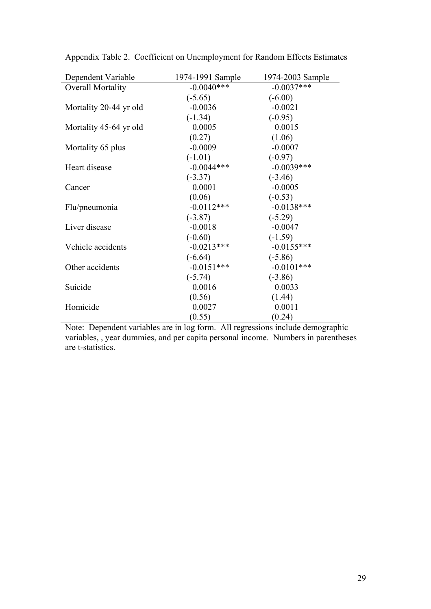| Dependent Variable       | 1974-1991 Sample | 1974-2003 Sample |
|--------------------------|------------------|------------------|
| <b>Overall Mortality</b> | $-0.0040***$     | $-0.0037***$     |
|                          | $(-5.65)$        | $(-6.00)$        |
| Mortality 20-44 yr old   | $-0.0036$        | $-0.0021$        |
|                          | $(-1.34)$        | $(-0.95)$        |
| Mortality 45-64 yr old   | 0.0005           | 0.0015           |
|                          | (0.27)           | (1.06)           |
| Mortality 65 plus        | $-0.0009$        | $-0.0007$        |
|                          | $(-1.01)$        | $(-0.97)$        |
| Heart disease            | $-0.0044***$     | $-0.0039***$     |
|                          | $(-3.37)$        | $(-3.46)$        |
| Cancer                   | 0.0001           | $-0.0005$        |
|                          | (0.06)           | $(-0.53)$        |
| Flu/pneumonia            | $-0.0112***$     | $-0.0138***$     |
|                          | $(-3.87)$        | $(-5.29)$        |
| Liver disease            | $-0.0018$        | $-0.0047$        |
|                          | $(-0.60)$        | $(-1.59)$        |
| Vehicle accidents        | $-0.0213***$     | $-0.0155***$     |
|                          | $(-6.64)$        | $(-5.86)$        |
| Other accidents          | $-0.0151***$     | $-0.0101***$     |
|                          | $(-5.74)$        | $(-3.86)$        |
| Suicide                  | 0.0016           | 0.0033           |
|                          | (0.56)           | (1.44)           |
| Homicide                 | 0.0027           | 0.0011           |
|                          | (0.55)           | (0.24)           |

Appendix Table 2. Coefficient on Unemployment for Random Effects Estimates

Note: Dependent variables are in log form. All regressions include demographic variables, , year dummies, and per capita personal income. Numbers in parentheses are t-statistics.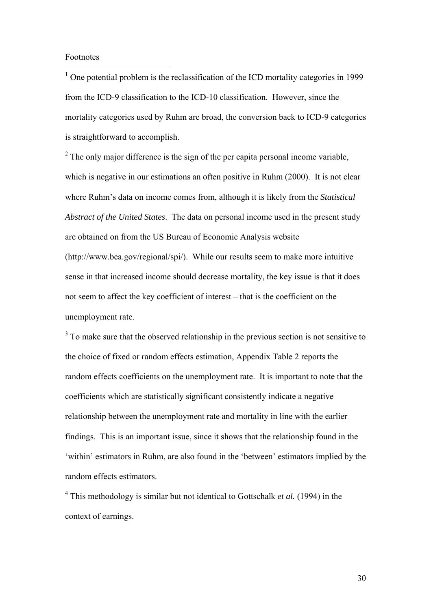#### Footnotes

 $\overline{a}$ 

<sup>1</sup> One potential problem is the reclassification of the ICD mortality categories in 1999 from the ICD-9 classification to the ICD-10 classification. However, since the mortality categories used by Ruhm are broad, the conversion back to ICD-9 categories is straightforward to accomplish.

 $2^2$  The only major difference is the sign of the per capita personal income variable, which is negative in our estimations an often positive in Ruhm (2000). It is not clear where Ruhm's data on income comes from, although it is likely from the *Statistical Abstract of the United States*. The data on personal income used in the present study are obtained on from the US Bureau of Economic Analysis website (http://www.bea.gov/regional/spi/). While our results seem to make more intuitive sense in that increased income should decrease mortality, the key issue is that it does not seem to affect the key coefficient of interest – that is the coefficient on the unemployment rate.

 $3$  To make sure that the observed relationship in the previous section is not sensitive to the choice of fixed or random effects estimation, Appendix Table 2 reports the random effects coefficients on the unemployment rate. It is important to note that the coefficients which are statistically significant consistently indicate a negative relationship between the unemployment rate and mortality in line with the earlier findings. This is an important issue, since it shows that the relationship found in the 'within' estimators in Ruhm, are also found in the 'between' estimators implied by the random effects estimators.

<sup>4</sup> This methodology is similar but not identical to Gottschalk *et al.* (1994) in the context of earnings.

30